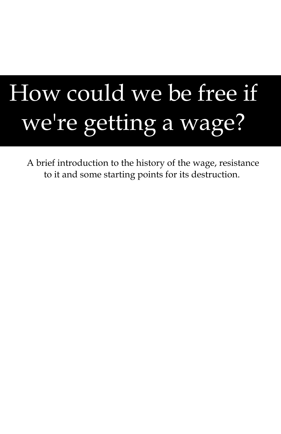# How could we be free if we're getting a wage?

A brief introduction to the history of the wage, resistance to it and some starting points for its destruction.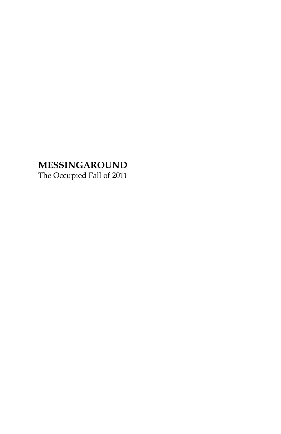# **MESSINGAROUND**

The Occupied Fall of 2011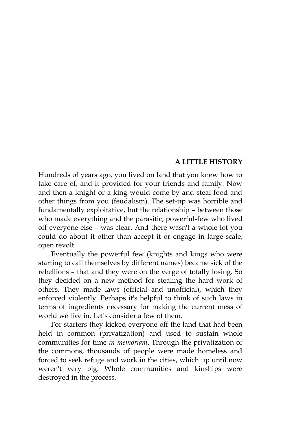#### **A LITTLE HISTORY**

Hundreds of years ago, you lived on land that you knew how to take care of, and it provided for your friends and family. Now and then a knight or a king would come by and steal food and other things from you (feudalism). The set-up was horrible and fundamentally exploitative, but the relationship – between those who made everything and the parasitic, powerful-few who lived off everyone else – was clear. And there wasn't a whole lot you could do about it other than accept it or engage in large-scale, open revolt.

Eventually the powerful few (knights and kings who were starting to call themselves by different names) became sick of the rebellions – that and they were on the verge of totally losing. So they decided on a new method for stealing the hard work of others. They made laws (official and unofficial), which they enforced violently. Perhaps it's helpful to think of such laws in terms of ingredients necessary for making the current mess of world we live in. Let's consider a few of them.

For starters they kicked everyone off the land that had been held in common (privatization) and used to sustain whole communities for time *in memoriam*. Through the privatization of the commons, thousands of people were made homeless and forced to seek refuge and work in the cities, which up until now weren't very big. Whole communities and kinships were destroyed in the process.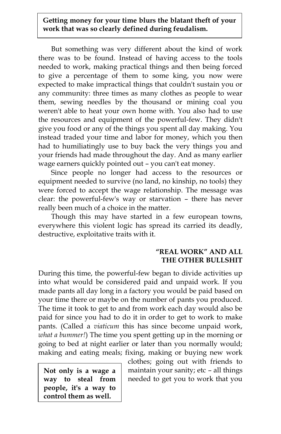## **Getting money for your time blurs the blatant theft of your work that was so clearly defined during feudalism.**

But something was very different about the kind of work there was to be found. Instead of having access to the tools needed to work, making practical things and then being forced to give a percentage of them to some king, you now were expected to make impractical things that couldn't sustain you or any community: three times as many clothes as people to wear them, sewing needles by the thousand or mining coal you weren't able to heat your own home with. You also had to use the resources and equipment of the powerful-few. They didn't give you food or any of the things you spent all day making. You instead traded your time and labor for money, which you then had to humiliatingly use to buy back the very things you and your friends had made throughout the day. And as many earlier wage earners quickly pointed out – you can't eat money.

Since people no longer had access to the resources or equipment needed to survive (no land, no kinship, no tools) they were forced to accept the wage relationship. The message was clear: the powerful-few's way or starvation – there has never really been much of a choice in the matter.

Though this may have started in a few european towns, everywhere this violent logic has spread its carried its deadly, destructive, exploitative traits with it.

# **"REAL WORK" AND ALL THE OTHER BULLSHIT**

During this time, the powerful-few began to divide activities up into what would be considered paid and unpaid work. If you made pants all day long in a factory you would be paid based on your time there or maybe on the number of pants you produced. The time it took to get to and from work each day would also be paid for since you had to do it in order to get to work to make pants. (Called a *viaticum* this has since become unpaid work, *what a bummer!*) The time you spent getting up in the morning or going to bed at night earlier or later than you normally would; making and eating meals; fixing, making or buying new work

**Not only is a wage a way to steal from people, it's a way to control them as well.**

clothes; going out with friends to maintain your sanity; etc – all things needed to get you to work that you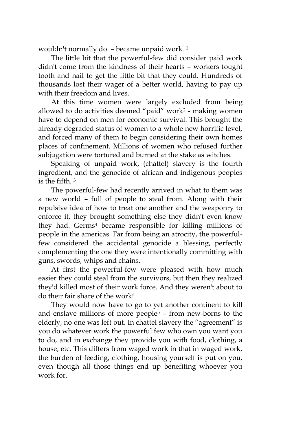wouldn't normally do – became unpaid work. <sup>1</sup>

The little bit that the powerful-few did consider paid work didn't come from the kindness of their hearts – workers fought tooth and nail to get the little bit that they could. Hundreds of thousands lost their wager of a better world, having to pay up with their freedom and lives.

At this time women were largely excluded from being allowed to do activities deemed "paid" work<sup>2</sup> - making women have to depend on men for economic survival. This brought the already degraded status of women to a whole new horrific level, and forced many of them to begin considering their own homes places of confinement. Millions of women who refused further subjugation were tortured and burned at the stake as witches.

Speaking of unpaid work, (chattel) slavery is the fourth ingredient, and the genocide of african and indigenous peoples is the fifth. <sup>3</sup>

The powerful-few had recently arrived in what to them was a new world – full of people to steal from. Along with their repulsive idea of how to treat one another and the weaponry to enforce it, they brought something else they didn't even know they had. Germs<sup>4</sup> became responsible for killing millions of people in the americas. Far from being an atrocity, the powerfulfew considered the accidental genocide a blessing, perfectly complementing the one they were intentionally committing with guns, swords, whips and chains.

At first the powerful-few were pleased with how much easier they could steal from the survivors, but then they realized they'd killed most of their work force. And they weren't about to do their fair share of the work!

They would now have to go to yet another continent to kill and enslave millions of more people<sup>5</sup>  $-$  from new-borns to the elderly, no one was left out. In chattel slavery the "agreement" is you do whatever work the powerful few who own you want you to do, and in exchange they provide you with food, clothing, a house, etc. This differs from waged work in that in waged work, the burden of feeding, clothing, housing yourself is put on you, even though all those things end up benefiting whoever you work for.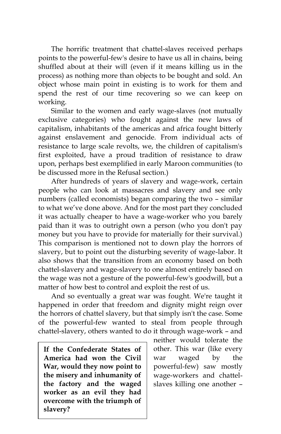The horrific treatment that chattel-slaves received perhaps points to the powerful-few's desire to have us all in chains, being shuffled about at their will (even if it means killing us in the process) as nothing more than objects to be bought and sold. An object whose main point in existing is to work for them and spend the rest of our time recovering so we can keep on working.

Similar to the women and early wage-slaves (not mutually exclusive categories) who fought against the new laws of capitalism, inhabitants of the americas and africa fought bitterly against enslavement and genocide. From individual acts of resistance to large scale revolts, we, the children of capitalism's first exploited, have a proud tradition of resistance to draw upon, perhaps best exemplified in early Maroon communities (to be discussed more in the Refusal section.)

After hundreds of years of slavery and wage-work, certain people who can look at massacres and slavery and see only numbers (called economists) began comparing the two – similar to what we've done above. And for the most part they concluded it was actually cheaper to have a wage-worker who you barely paid than it was to outright own a person (who you don't pay money but you have to provide for materially for their survival.) This comparison is mentioned not to down play the horrors of slavery, but to point out the disturbing severity of wage-labor. It also shows that the transition from an economy based on both chattel-slavery and wage-slavery to one almost entirely based on the wage was not a gesture of the powerful-few's goodwill, but a matter of how best to control and exploit the rest of us.

And so eventually a great war was fought. We're taught it happened in order that freedom and dignity might reign over the horrors of chattel slavery, but that simply isn't the case. Some of the powerful-few wanted to steal from people through chattel-slavery, others wanted to do it through wage-work – and

**If the Confederate States of America had won the Civil War, would they now point to the misery and inhumanity of the factory and the waged worker as an evil they had overcome with the triumph of slavery?**

neither would tolerate the other. This war (like every war waged by the powerful-few) saw mostly wage-workers and chattelslaves killing one another –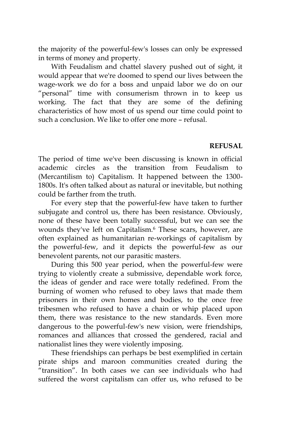the majority of the powerful-few's losses can only be expressed in terms of money and property.

With Feudalism and chattel slavery pushed out of sight, it would appear that we're doomed to spend our lives between the wage-work we do for a boss and unpaid labor we do on our "personal" time with consumerism thrown in to keep us working. The fact that they are some of the defining characteristics of how most of us spend our time could point to such a conclusion. We like to offer one more – refusal.

#### **REFUSAL**

The period of time we've been discussing is known in official academic circles as the transition from Feudalism to (Mercantilism to) Capitalism. It happened between the 1300- 1800s. It's often talked about as natural or inevitable, but nothing could be farther from the truth.

For every step that the powerful-few have taken to further subjugate and control us, there has been resistance. Obviously, none of these have been totally successful, but we can see the wounds they've left on Capitalism.<sup>6</sup> These scars, however, are often explained as humanitarian re-workings of capitalism by the powerful-few, and it depicts the powerful-few as our benevolent parents, not our parasitic masters.

During this 500 year period, when the powerful-few were trying to violently create a submissive, dependable work force, the ideas of gender and race were totally redefined. From the burning of women who refused to obey laws that made them prisoners in their own homes and bodies, to the once free tribesmen who refused to have a chain or whip placed upon them, there was resistance to the new standards. Even more dangerous to the powerful-few's new vision, were friendships, romances and alliances that crossed the gendered, racial and nationalist lines they were violently imposing.

These friendships can perhaps be best exemplified in certain pirate ships and maroon communities created during the "transition". In both cases we can see individuals who had suffered the worst capitalism can offer us, who refused to be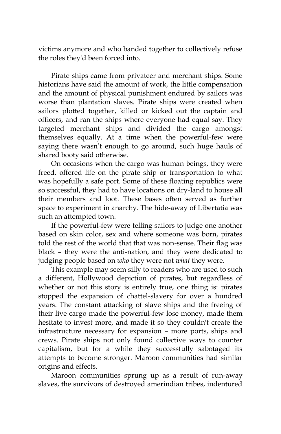victims anymore and who banded together to collectively refuse the roles they'd been forced into.

Pirate ships came from privateer and merchant ships. Some historians have said the amount of work, the little compensation and the amount of physical punishment endured by sailors was worse than plantation slaves. Pirate ships were created when sailors plotted together, killed or kicked out the captain and officers, and ran the ships where everyone had equal say. They targeted merchant ships and divided the cargo amongst themselves equally. At a time when the powerful-few were saying there wasn't enough to go around, such huge hauls of shared booty said otherwise.

On occasions when the cargo was human beings, they were freed, offered life on the pirate ship or transportation to what was hopefully a safe port. Some of these floating republics were so successful, they had to have locations on dry-land to house all their members and loot. These bases often served as further space to experiment in anarchy. The hide-away of Libertatia was such an attempted town.

If the powerful-few were telling sailors to judge one another based on skin color, sex and where someone was born, pirates told the rest of the world that that was non-sense. Their flag was black – they were the anti-nation, and they were dedicated to judging people based on *who* they were not *what* they were.

This example may seem silly to readers who are used to such a different, Hollywood depiction of pirates, but regardless of whether or not this story is entirely true, one thing is: pirates stopped the expansion of chattel-slavery for over a hundred years. The constant attacking of slave ships and the freeing of their live cargo made the powerful-few lose money, made them hesitate to invest more, and made it so they couldn't create the infrastructure necessary for expansion – more ports, ships and crews. Pirate ships not only found collective ways to counter capitalism, but for a while they successfully sabotaged its attempts to become stronger. Maroon communities had similar origins and effects.

Maroon communities sprung up as a result of run-away slaves, the survivors of destroyed amerindian tribes, indentured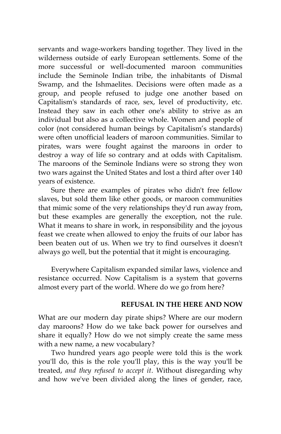servants and wage-workers banding together. They lived in the wilderness outside of early European settlements. Some of the more successful or well-documented maroon communities include the Seminole Indian tribe, the inhabitants of Dismal Swamp, and the Ishmaelites. Decisions were often made as a group, and people refused to judge one another based on Capitalism's standards of race, sex, level of productivity, etc. Instead they saw in each other one's ability to strive as an individual but also as a collective whole. Women and people of color (not considered human beings by Capitalism's standards) were often unofficial leaders of maroon communities. Similar to pirates, wars were fought against the maroons in order to destroy a way of life so contrary and at odds with Capitalism. The maroons of the Seminole Indians were so strong they won two wars against the United States and lost a third after over 140 years of existence.

Sure there are examples of pirates who didn't free fellow slaves, but sold them like other goods, or maroon communities that mimic some of the very relationships they'd run away from, but these examples are generally the exception, not the rule. What it means to share in work, in responsibility and the joyous feast we create when allowed to enjoy the fruits of our labor has been beaten out of us. When we try to find ourselves it doesn't always go well, but the potential that it might is encouraging.

Everywhere Capitalism expanded similar laws, violence and resistance occurred. Now Capitalism is a system that governs almost every part of the world. Where do we go from here?

#### **REFUSAL IN THE HERE AND NOW**

What are our modern day pirate ships? Where are our modern day maroons? How do we take back power for ourselves and share it equally? How do we not simply create the same mess with a new name, a new vocabulary?

Two hundred years ago people were told this is the work you'll do, this is the role you'll play, this is the way you'll be treated, *and they refused to accept it*. Without disregarding why and how we've been divided along the lines of gender, race,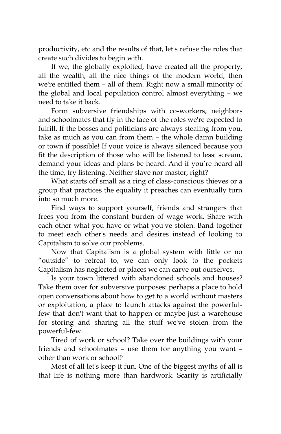productivity, etc and the results of that, let's refuse the roles that create such divides to begin with.

If we, the globally exploited, have created all the property, all the wealth, all the nice things of the modern world, then we're entitled them – all of them. Right now a small minority of the global and local population control almost everything – we need to take it back.

Form subversive friendships with co-workers, neighbors and schoolmates that fly in the face of the roles we're expected to fulfill. If the bosses and politicians are always stealing from you, take as much as you can from them – the whole damn building or town if possible! If your voice is always silenced because you fit the description of those who will be listened to less: scream, demand your ideas and plans be heard. And if you're heard all the time, try listening. Neither slave nor master, right?

What starts off small as a ring of class-conscious thieves or a group that practices the equality it preaches can eventually turn into so much more.

Find ways to support yourself, friends and strangers that frees you from the constant burden of wage work. Share with each other what you have or what you've stolen. Band together to meet each other's needs and desires instead of looking to Capitalism to solve our problems.

Now that Capitalism is a global system with little or no "outside" to retreat to, we can only look to the pockets Capitalism has neglected or places we can carve out ourselves.

Is your town littered with abandoned schools and houses? Take them over for subversive purposes: perhaps a place to hold open conversations about how to get to a world without masters or exploitation, a place to launch attacks against the powerfulfew that don't want that to happen or maybe just a warehouse for storing and sharing all the stuff we've stolen from the powerful-few.

Tired of work or school? Take over the buildings with your friends and schoolmates – use them for anything you want – other than work or school!<sup>7</sup>

Most of all let's keep it fun. One of the biggest myths of all is that life is nothing more than hardwork. Scarity is artificially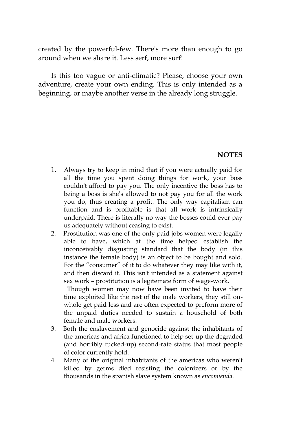created by the powerful-few. There's more than enough to go around when we share it. Less serf, more surf!

Is this too vague or anti-climatic? Please, choose your own adventure, create your own ending. This is only intended as a beginning, or maybe another verse in the already long struggle.

### **NOTES**

- 1. Always try to keep in mind that if you were actually paid for all the time you spent doing things for work, your boss couldn't afford to pay you. The only incentive the boss has to being a boss is she's allowed to not pay you for all the work you do, thus creating a profit. The only way capitalism can function and is profitable is that all work is intrinsically underpaid. There is literally no way the bosses could ever pay us adequately without ceasing to exist.
- 2. Prostitution was one of the only paid jobs women were legally able to have, which at the time helped establish the inconceivably disgusting standard that the body (in this instance the female body) is an object to be bought and sold. For the "consumer" of it to do whatever they may like with it, and then discard it. This isn't intended as a statement against sex work – prostitution is a legitemate form of wage-work.

 Though women may now have been invited to have their time exploited like the rest of the male workers, they still onwhole get paid less and are often expected to preform more of the unpaid duties needed to sustain a household of both female and male workers.

- 3. Both the enslavement and genocide against the inhabitants of the americas and africa functioned to help set-up the degraded (and horribly fucked-up) second-rate status that most people of color currently hold.
- 4 Many of the original inhabitants of the americas who weren't killed by germs died resisting the colonizers or by the thousands in the spanish slave system known as *encomienda*.